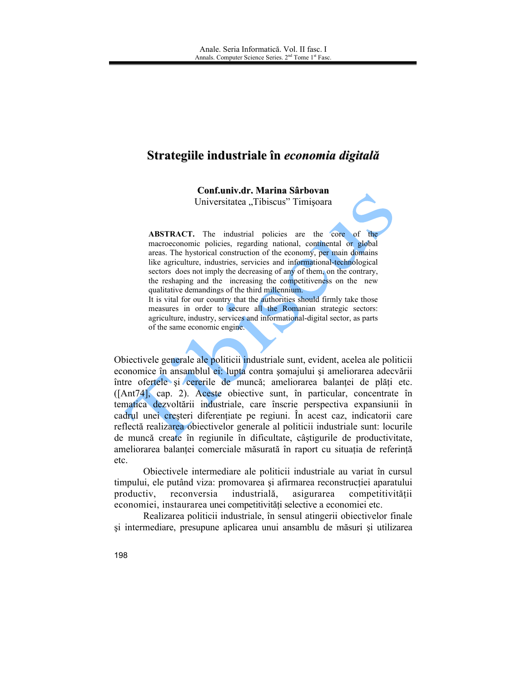# Strategiile industriale în economia digitală

Conf.univ.dr. Marina Sârbovan

Universitatea "Tibiscus" Timișoara

**ABSTRACT.** The industrial policies are the core of the macroeconomic policies, regarding national, continental or global areas. The hystorical construction of the economy, per main domains like agriculture, industries, servicies and informational-technological sectors does not imply the decreasing of any of them, on the contrary, the reshaping and the increasing the competitiveness on the new qualitative demandings of the third millennium.

It is vital for our country that the authorities should firmly take those measures in order to secure all the Romanian strategic sectors: agriculture, industry, services and informational-digital sector, as parts of the same economic engine.

Obiectivele generale ale politicii industriale sunt, evident, acelea ale politicii economice în ansamblul ei: lupta contra somajului și ameliorarea adecvării între ofertele și cererile de muncă; ameliorarea balantei de plăți etc. ([Ant74], cap. 2). Aceste objective sunt, în particular, concentrate în tematica dezvoltării industriale, care înscrie perspectiva expansiunii în cadrul unei creșteri diferențiate pe regiuni. În acest caz, indicatorii care reflectă realizarea objectivelor generale al politicii industriale sunt: locurile de muncă create în regiunile în dificultate, câștigurile de productivitate, ameliorarea balanței comerciale măsurată în raport cu situația de referință etc.

Objectivele intermediare ale politicii industriale au variat în cursul timpului, ele putând viza: promovarea și afirmarea reconstrucției aparatului productiv. reconversia industrială. asigurarea competitivității economiei, instaurarea unei competitivități selective a economiei etc.

Realizarea politicii industriale, în sensul atingerii obiectivelor finale si intermediare, presupune aplicarea unui ansamblu de măsuri și utilizarea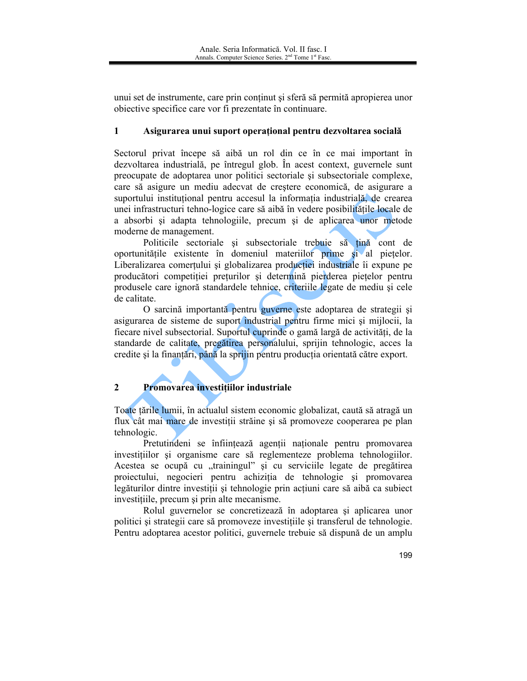unui set de instrumente, care prin conținut și sferă să permită apropierea unor objective specifice care vor fi prezentate în continuare.

#### $\mathbf{1}$ Asigurarea unui suport operational pentru dezvoltarea socială

Sectorul privat începe să aibă un rol din ce în ce mai important în dezvoltarea industrială, pe întregul glob. În acest context, guvernele sunt preocupate de adoptarea unor politici sectoriale si subsectoriale complexe, care să asigure un mediu adecvat de creștere economică, de asigurare a suportului instituțional pentru accesul la informația industrială, de crearea unei infrastructuri tehno-logice care să aibă în vedere posibilitățile locale de a absorbi și adapta tehnologiile, precum și de aplicarea unor metode moderne de management.

Politicile sectoriale si subsectoriale trebuie să tină cont de oportunitățile existente în domeniul materiilor prime și al piețelor. Liberalizarea comertului și globalizarea producției industriale îi expune pe producători competiției preturilor și determină pierderea piețelor pentru produsele care ignoră standardele tehnice, criteriile legate de mediu și cele de calitate.

O sarcină importantă pentru guverne este adoptarea de strategii și asigurarea de sisteme de suport industrial pentru firme mici și mijlocii, la fiecare nivel subsectorial. Suportul cuprinde o gamă largă de activități, de la standarde de calitate, pregătirea personalului, sprijin tehnologic, acces la credite și la finanțări, până la sprijin pentru producția orientată către export.

#### $2^{\circ}$ Promovarea investițiilor industriale

Toate țările lumii, în actualul sistem economic globalizat, caută să atragă un flux cât mai mare de investiții străine și să promoveze cooperarea pe plan tehnologic.

Pretutindeni se înființează agenții naționale pentru promovarea investitiilor și organisme care să reglementeze problema tehnologiilor. Acestea se ocupă cu "trainingul" și cu serviciile legate de pregătirea proiectului, negocieri pentru achiziția de tehnologie și promovarea legăturilor dintre investiții și tehnologie prin acțiuni care să aibă ca subiect investitiile, precum și prin alte mecanisme.

Rolul guvernelor se concretizează în adoptarea și aplicarea unor politici si strategii care să promoveze investitiile si transferul de tehnologie. Pentru adoptarea acestor politici, guvernele trebuie să dispună de un amplu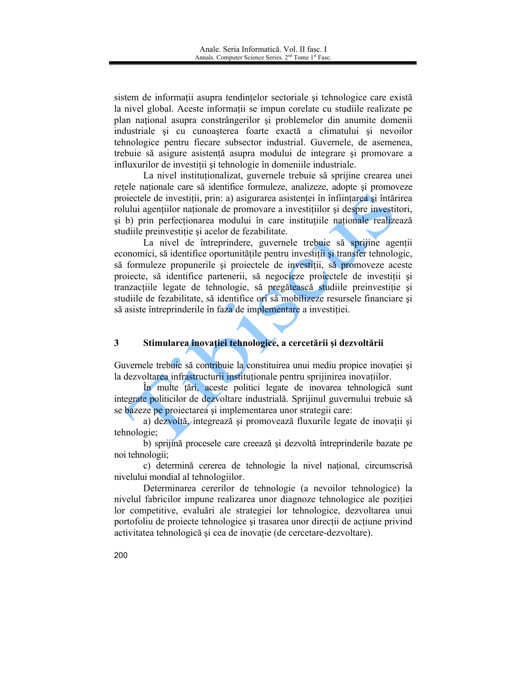sistem de informații asupra tendințelor sectoriale și tehnologice care există la nivel global. Aceste informații se impun corelate cu studiile realizate pe plan national asupra constrângerilor și problemelor din anumite domenii industriale și cu cunoașterea foarte exactă a climatului și nevoilor tehnologice pentru fiecare subsector industrial. Guvernele, de asemenea, trebuie să asigure asistență asupra modului de integrare și promovare a influxurilor de investiții și tehnologie în domeniile industriale.

La nivel institutionalizat, guvernele trebuie să sprijine crearea unei rețele naționale care să identifice formuleze, analizeze, adopte și promoveze proiectele de investiții, prin: a) asigurarea asistenței în înființarea și întărirea rolului agentiilor nationale de promovare a investituilor și despre investitori, și b) prin perfecționarea modului în care instituțiile naționale realizează studiile preinvestiție și acelor de fezabilitate.

La nivel de întreprindere, guvernele trebuie să spriime agentii economici, să identifice oportunitățile pentru investiții și transfer tehnologic, să formuleze propunerile și projectele de investiții, să promoveze aceste projecte, să identifice partenerii, să negocieze projectele de investiții și tranzacțiile legate de tehnologie, să pregătească studiile preinvestiție și studiile de fezabilitate, să identifice ori să mobilizeze resursele financiare și să asiste întreprinderile în faza de implementare a investiției.

#### $3<sup>1</sup>$ Stimularea inovației tehnologice, a cercetării și dezvoltării

Guvernele trebuie să contribuie la constituirea unui mediu propice inovatiei si la dezvoltarea infrastructurii institutionale pentru sprijinirea inovatiilor.

În multe țări, aceste politici legate de inovarea tehnologică sunt integrate politicilor de dezvoltare industrială. Sprijinul guvernului trebuie să se bazeze pe proiectarea și implementarea unor strategii care:

a) dezvoltă, integrează și promovează fluxurile legate de inovații și tehnologie:

b) sprijină procesele care creează și dezvoltă întreprinderile bazate pe noi tehnologii;

c) determină cererea de tehnologie la nivel național, circumscrisă nivelului mondial al tehnologiilor.

Determinarea cererilor de tehnologie (a nevoilor tehnologice) la nivelul fabricilor impune realizarea unor diagnoze tehnologice ale poziției lor competitive, evaluări ale strategiei lor tehnologice, dezvoltarea unui portofoliu de proiecte tehnologice și trasarea unor direcții de acțiune privind activitatea tehnologică și cea de inovație (de cercetare-dezvoltare).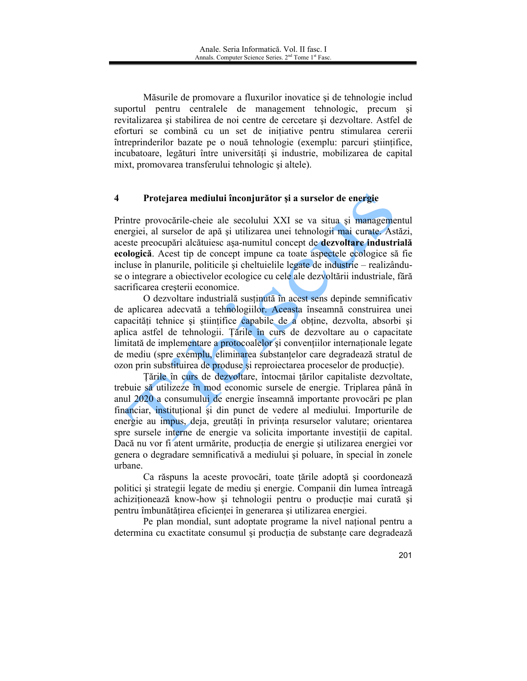Măsurile de promovare a fluxurilor inovatice și de tehnologie includ suportul pentru centralele de management tehnologic, precum și revitalizarea și stabilirea de noi centre de cercetare și dezvoltare. Astfel de eforturi se combină cu un set de inițiative pentru stimularea cererii întreprinderilor bazate pe o nouă tehnologie (exemplu: parcuri științifice, incubatoare, legături între universități și industrie, mobilizarea de capital mixt, promovarea transferului tehnologic și altele).

#### $\overline{\mathbf{4}}$ Protejarea mediului înconjurător și a surselor de energie

Printre provocările-cheie ale secolului XXI se va situa și managementul energiei, al surselor de apă și utilizarea unei tehnologii mai curate. Astăzi, aceste preocupări alcătuiesc asa-numitul concept de dezvoltare industrială ecologică. Acest tip de concept impune ca toate aspectele ecologice să fie incluse în planurile, politicile și cheltuielile legate de industrie – realizânduse o integrare a objectivelor ecologice cu cele ale dezvoltării industriale, fără sacrificarea cresterii economice.

O dezvoltare industrială susținută în acest sens depinde semnificativ de aplicarea adecvată a tehnologiilor. Aceasta înseamnă construirea unei capacități tehnice și științifice capabile de a obține, dezvolta, absorbi și aplica astfel de tehnologii. Țările în curs de dezvoltare au o capacitate limitată de implementare a protocoalelor și conventiilor internaționale legate de mediu (spre exemplu, eliminarea substantelor care degradează stratul de ozon prin substituirea de produse si reprojectarea proceselor de productie).

Tările în curs de dezvoltare, întocmai țărilor capitaliste dezvoltate, trebuie să utilizeze în mod economic sursele de energie. Triplarea până în anul 2020 a consumului de energie înseamnă importante provocări pe plan financiar, institutional și din punct de vedere al mediului. Importurile de energie au impus, deja, greutăți în privința resurselor valutare; orientarea spre sursele interne de energie va solicita importante investitii de capital. Dacă nu vor fi atent urmărite, producția de energie și utilizarea energiei vor genera o degradare semnificativă a mediului și poluare, în special în zonele urbane

Ca răspuns la aceste provocări, toate țările adoptă și coordonează politici și strategii legate de mediu și energie. Companii din lumea întreagă achizitionează know-how și tehnologii pentru o producție mai curată și pentru îmbunătățirea eficienței în generarea și utilizarea energiei.

Pe plan mondial, sunt adoptate programe la nivel national pentru a determina cu exactitate consumul și producția de substanțe care degradează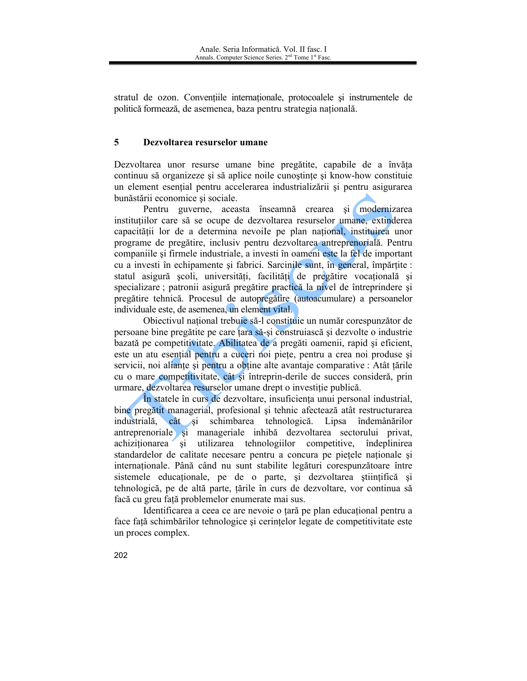stratul de ozon. Convențiile internaționale, protocoalele și instrumentele de politică formează, de asemenea, baza pentru strategia națională.

#### $\overline{5}$ Dezvoltarea resurselor umane

Dezvoltarea unor resurse umane bine pregătite, capabile de a învăța continuu să organizeze și să aplice noile cunostinte și know-how constituie un element esențial pentru accelerarea industrializării și pentru asigurarea bunăstării economice și sociale.

Pentru guverne, aceasta înseamnă crearea și modernizarea instituțiilor care să se ocupe de dezvoltarea resurselor umane, extinderea capacității lor de a determina nevoile pe plan național, instituirea unor programe de pregătire, inclusiv pentru dezvoltarea antreprenorială. Pentru companiile și firmele industriale, a investi în oameni este la fel de important cu a investi în echipamente și fabrici. Sarcinile sunt, în general, împărțite : statul asigură școli, universități, facilități de pregătire vocațională și specializare; patronii asigură pregătire practică la nivel de întreprindere și pregătire tehnică. Procesul de autopregătire (autoacumulare) a persoanelor individuale este, de asemenea, un element vital.

Obiectivul național trebuie să-l constituie un număr corespunzător de persoane bine pregătite pe care țara să-și construiască și dezvolte o industrie bazată pe competitivitate. Abilitatea de a pregăti oamenii, rapid și eficient, este un atu esential pentru a cuceri noi piete, pentru a crea noi produse și servicii, noi aliante si pentru a obtine alte avantaje comparative : Atât tările cu o mare competitivitate, cât și întreprin-derile de succes consideră, prin urmare, dezvoltarea resurselor umane drept o investitie publică.

În statele în curs de dezvoltare, insuficienta unui personal industrial, bine pregătit managerial, profesional și tehnic afectează atât restructurarea industrială, cât și schimbarea tehnologică. Lipsa îndemânărilor antreprenoriale si manageriale inhibă dezvoltarea sectorului privat, și utilizarea tehnologiilor competitive, îndeplinirea achiziționarea standardelor de calitate necesare pentru a concura pe pietele nationale și internationale. Până când nu sunt stabilite legături corespunzătoare între sistemele educaționale, pe de o parte, și dezvoltarea științifică și tehnologică, pe de altă parte, țările în curs de dezvoltare, vor continua să façã cu greu față problemelor enumerate mai sus.

Identificarea a ceea ce are nevoie o tară pe plan educațional pentru a face față schimbărilor tehnologice și cerințelor legate de competitivitate este un proces complex.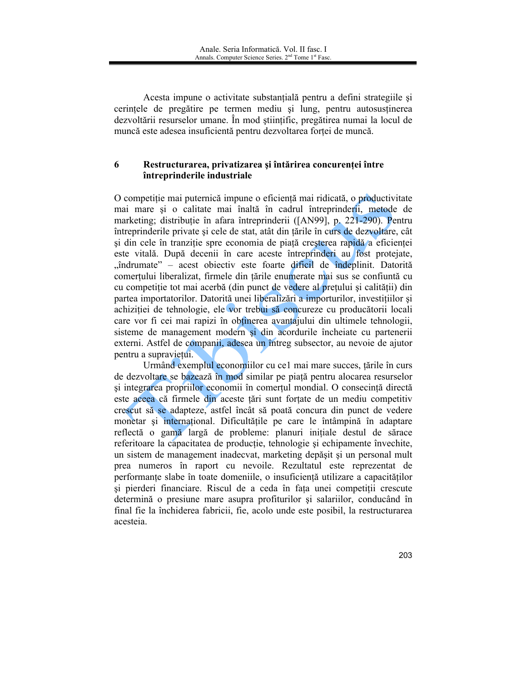Acesta impune o activitate substantială pentru a defini strategiile și cerințele de pregătire pe termen mediu și lung, pentru autosusținerea dezvoltării resurselor umane. În mod științific, pregătirea numai la locul de muncă este adesea insuficientă pentru dezvoltarea forței de muncă.

### 6 Restructurarea, privatizarea și întărirea concurenței între întreprinderile industriale

O competiție mai puternică impune o eficiență mai ridicată, o productivitate mai mare și o calitate mai înaltă în cadrul întreprinderii, metode de marketing; distribuție în afara întreprinderii ([AN99], p. 221-290). Pentru întreprinderile private și cele de stat, atât din țările în curs de dezvoltare, cât si din cele în tranziție spre economia de piață creșterea rapidă a eficienței este vitală. După decenii în care aceste întreprinderi au fost protejate, "îndrumate" – acest obiectiv este foarte dificil de îndeplinit. Datorită comertului liberalizat, firmele din țările enumerate mai sus se confiuntă cu cu competiție tot mai acerbă (din punct de vedere al prețului și calității) din partea importatorilor. Datorită unei liberalizări a importurilor, investițiilor și achiziției de tehnologie, ele vor trebui să concureze cu producătorii locali care vor fi cei mai rapizi în obținerea avantajului din ultimele tehnologii, sisteme de management modern și din acordurile încheiate cu partenerii externi. Astfel de companii, adesea un întreg subsector, au nevoie de ajutor pentru a supravietui.

Urmând exemplul economiilor cu ce1 mai mare succes, tările în curs de dezvoltare se bazează în mod similar pe piață pentru alocarea resurselor și integrarea propriilor economii în comerțul mondial. O consecință directă este aceea că firmele din aceste tări sunt fortate de un mediu competitiv crescut să se adapteze, astfel încât să poată concura din punct de vedere monetar și internațional. Dificultățile pe care le întâmpină în adaptare reflectă o gamă largă de probleme: planuri inițiale destul de sărace referitoare la capacitatea de producție, tehnologie și echipamente învechite, un sistem de management inadecvat, marketing depășit și un personal mult prea numeros în raport cu nevoile. Rezultatul este reprezentat de performanțe slabe în toate domeniile, o insuficiență utilizare a capacităților si pierderi financiare. Riscul de a ceda în fața unei competitii crescute determină o presiune mare asupra profiturilor și salariilor, conducând în final fie la închiderea fabricii, fie, acolo unde este posibil, la restructurarea acesteia.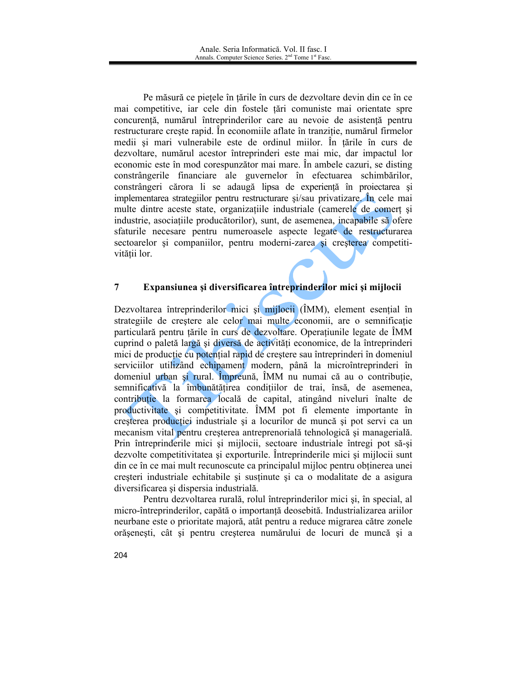Pe măsură ce piețele în țările în curs de dezvoltare devin din ce în ce mai competitive, iar cele din fostele țări comuniste mai orientate spre concurență, numărul întreprinderilor care au nevoie de asistență pentru restructurare crește rapid. În economiile aflate în tranziție, numărul firmelor medii și mari vulnerabile este de ordinul miilor. În țările în curs de dezvoltare, numărul acestor întreprinderi este mai mic, dar impactul lor economic este în mod corespunzător mai mare. În ambele cazuri, se disting constrângerile financiare ale guvernelor în efectuarea schimbărilor, constrângeri cărora li se adaugă lipsa de experiență în proiectarea și implementarea strategiilor pentru restructurare și/sau privatizare. În cele mai multe dintre aceste state, organizațiile industriale (camerele de comert și industrie, asociațiile producătorilor), sunt, de asemenea, incapabile să ofere sfaturile necesare pentru numeroasele aspecte legate de restructurarea sectoarelor și companiilor, pentru moderni-zarea și creșterea competitivitătii lor.

#### $\overline{7}$ Expansiunea și diversificarea întreprinderilor mici și mijlocii

Dezvoltarea întreprinderilor mici și mijlocii (ÎMM), element esențial în strategiile de creștere ale celor mai multe economii, are o semnificație particulară pentru tările în curs de dezvoltare. Operatiunile legate de ÎMM cuprind o paletă largă și diversă de activități economice, de la întreprinderi mici de producție cu potențial rapid de creștere sau întreprinderi în domeniul serviciilor utilizând echipament modern, până la microîntreprinderi în domeniul urban și rural. Împreună, ÎMM nu numai că au o contribuție, semnificativă la îmbunătătirea condițiilor de trai, însă, de asemenea, contributie la formarea locală de capital, atingând niveluri înalte de productivitate și competitivitate. ÎMM pot fi elemente importante în creșterea producției industriale și a locurilor de muncă și pot servi ca un mecanism vital pentru cresterea antreprenorială tehnologică și managerială. Prin întreprinderile mici și mijlocii, sectoare industriale întregi pot să-și dezvolte competitivitatea și exporturile. Întreprinderile mici și mijlocii sunt din ce în ce mai mult recunoscute ca principalul mijloc pentru obținerea unei creșteri industriale echitabile și susținute și ca o modalitate de a asigura diversificarea și dispersia industrială.

Pentru dezvoltarea rurală, rolul întreprinderilor mici și, în special, al micro-întreprinderilor, capătă o importanță deosebită. Industrializarea ariilor neurbane este o prioritate majoră, atât pentru a reduce migrarea către zonele orășenești, cât și pentru creșterea numărului de locuri de muncă și a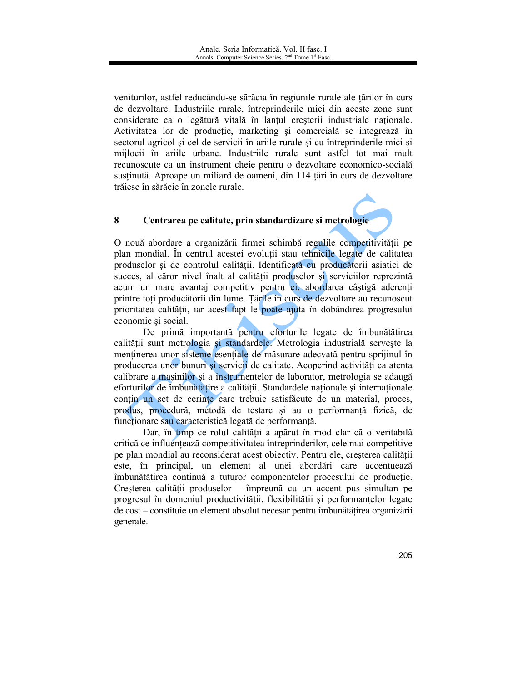veniturilor, astfel reducându-se sărăcia în regiunile rurale ale țărilor în curs de dezvoltare. Industriile rurale, întreprinderile mici din aceste zone sunt considerate ca o legătură vitală în lanțul creșterii industriale nationale. Activitatea lor de productie, marketing și comercială se integrează în sectorul agricol și cel de servicii în ariile rurale și cu întreprinderile mici și mijlocii în ariile urbane. Industriile rurale sunt astfel tot mai mult recunoscute ca un instrument cheie pentru o dezvoltare economico-socială sustinută. Aproape un miliard de oameni, din 114 tări în curs de dezvoltare trăiesc în sărăcie în zonele rurale.

#### 8 Centrarea pe calitate, prin standardizare și metrologie

O nouă abordare a organizării firmei schimbă regulile competitivității pe plan mondial. În centrul acestei evolutii stau tehnicile legate de calitatea produselor și de controlul calității. Identificată cu producătorii asiatici de succes, al căror nivel înalt al calității produselor și serviciilor reprezintă acum un mare avantaj competitiv pentru ei, abordarea câștigă aderenți printre toți producătorii din lume. Țările în curs de dezvoltare au recunoscut prioritatea calității, iar acest fapt le poate ajuta în dobândirea progresului economic si social.

De primă importanță pentru eforturile legate de îmbunătățirea calității sunt metrologia și standardele. Metrologia industrială servește la menținerea unor sisteme esențiale de măsurare adecvată pentru sprijinul în producerea unor bunuri si servicii de calitate. Acoperind activităti ca atenta calibrare a masinilor si a instrumentelor de laborator, metrologia se adaugă eforturilor de îmbunătătire a calității. Standardele naționale și internaționale contin un set de cerinte care trebuie satisfăcute de un material, proces, produs, procedură, metodă de testare și au o performanță fizică, de funcționare sau caracteristică legată de performanță.

Dar, în timp ce rolul calității a apărut în mod clar că o veritabilă critică ce influențează competitivitatea întreprinderilor, cele mai competitive pe plan mondial au reconsiderat acest obiectiv. Pentru ele, creșterea calității este, în principal, un element al unei abordări care accentuează îmbunătătirea continuă a tuturor componentelor procesului de producție. Cresterea calității produselor – împreună cu un accent pus simultan pe progresul în domeniul productivității, flexibilității și performanțelor legate de cost – constituie un element absolut necesar pentru îmbunătățirea organizării generale.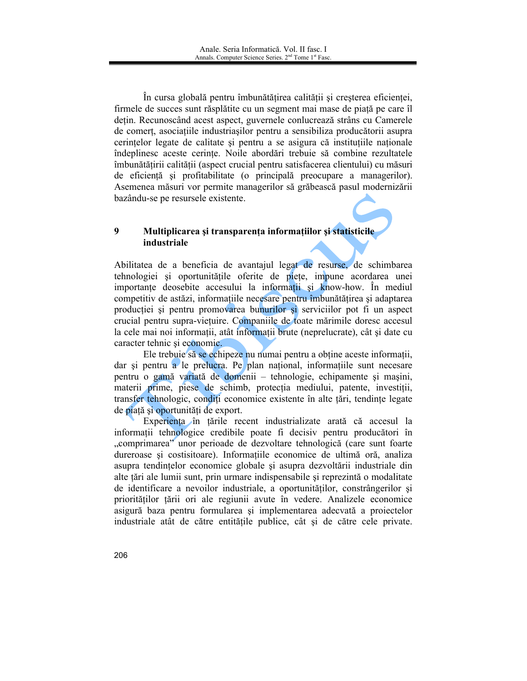În cursa globală pentru îmbunătățirea calității și creșterea eficienței, firmele de succes sunt răsplătite cu un segment mai mase de piață pe care îl dețin. Recunoscând acest aspect, guvernele conlucrează strâns cu Camerele de comert, asociațiile industriașilor pentru a sensibiliza producătorii asupra cerințelor legate de calitate și pentru a se asigura că instituțiile naționale îndeplinesc aceste cerințe. Noile abordări trebuie să combine rezultatele îmbunătățirii calității (aspect crucial pentru satisfacerea clientului) cu măsuri de eficientă și profitabilitate (o principală preocupare a managerilor). Asemenea măsuri vor permite managerilor să grăbească pasul modernizării bazându-se pe resursele existente.

## 9 Multiplicarea și transparența informațiilor și statisticile industriale

Abilitatea de a beneficia de avantajul legat de resurse, de schimbarea tehnologiei și oportunitățile oferite de piete, impune acordarea unei importante deosebite accesului la informatii și know-how. În mediul competitiv de astăzi, informațiile necesare pentru îmbunătățirea și adaptarea producției și pentru promovarea bunurilor și serviciilor pot fi un aspect crucial pentru supra-viețuire. Companiile de toate mărimile doresc accesul la cele mai noi informații, atât informații brute (neprelucrate), cât și date cu caracter tehnic și economic.

Ele trebuie să se echipeze nu numai pentru a obține aceste informații, dar si pentru a le prelucra. Pe plan national, informatiile sunt necesare pentru o gamă variată de domenii – tehnologie, echipamente și mașini, materii prime, piese de schimb, protecția mediului, patente, investiții, transfer tehnologic, conditi economice existente în alte tări, tendinte legate de piață și oportunități de export.

Experienta în țările recent industrializate arată că accesul la informatii tehnologice credibile poate fi decisiv pentru producători în "comprimarea" unor perioade de dezvoltare tehnologică (care sunt foarte dureroase și costisitoare). Informațiile economice de ultimă oră, analiza asupra tendințelor economice globale și asupra dezvoltării industriale din alte țări ale lumii sunt, prin urmare indispensabile și reprezintă o modalitate de identificare a nevoilor industriale, a oportunităților, constrângerilor și priorităților țării ori ale regiunii avute în vedere. Analizele economice asigură baza pentru formularea și implementarea adecvată a proiectelor industriale atât de către entitățile publice, cât și de către cele private.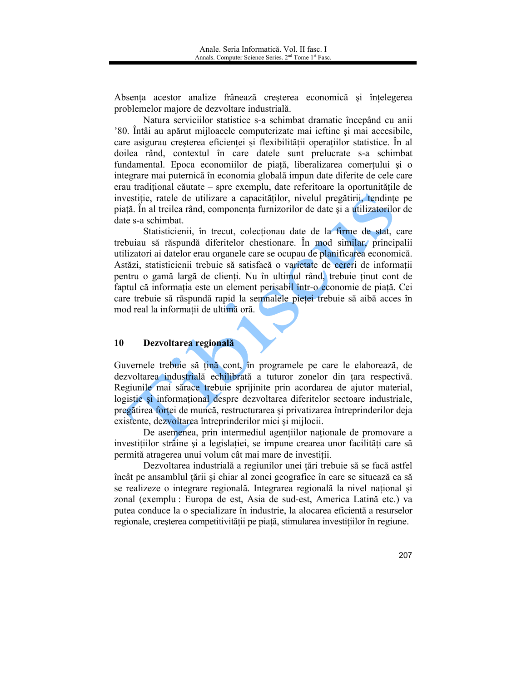Absenta acestor analize frânează creșterea economică și înțelegerea problemelor majore de dezvoltare industrială.

Natura serviciilor statistice s-a schimbat dramatic începând cu anii '80. Întâi au apărut mijloacele computerizate mai ieftine și mai accesibile, care asigurau creșterea eficienței și flexibilității operațiilor statistice. În al doilea rând, contextul în care datele sunt prelucrate s-a schimbat fundamental. Epoca economiilor de piață, liberalizarea comerțului și o integrare mai puternică în economia globală impun date diferite de cele care erau tradițional căutate – spre exemplu, date referitoare la oportunitățile de investiție, ratele de utilizare a capacităților, nivelul pregătirii, tendințe pe piață. În al treilea rând, componența furnizorilor de date și a utilizatorilor de date s-a schimbat.

Statisticienii, în trecut, colectionau date de la firme de stat, care trebuiau să răspundă diferitelor chestionare. În mod similar, principalii utilizatori ai datelor erau organele care se ocupau de planificarea economică. Astăzi, statisticienii trebuie să satisfacă o varietate de cereri de informații pentru o gamă largă de clienți. Nu în ultimul rând, trebuie ținut cont de faptul că informația este un element perisabil într-o economie de piață. Cei care trebuie să răspundă rapid la semnalele pieței trebuie să aibă acces în mod real la informații de ultimă oră.

#### 10 Dezvoltarea regională

Guvernele trebuie să tină cont, în programele pe care le elaborează, de dezvoltarea industrială echilibrată a tuturor zonelor din tara respectivă. Regiunile mai sărace trebuie sprijinite prin acordarea de ajutor material, logistic si informational despre dezvoltarea diferitelor sectoare industriale. pregătirea forței de muncă, restructurarea și privatizarea întreprinderilor deja existente, dezvoltarea întreprinderilor mici și mijlocii.

De asemenea, prin intermediul agentiilor nationale de promovare a investițiilor străine și a legislației, se impune crearea unor facilități care să permită atragerea unui volum cât mai mare de investiții.

Dezvoltarea industrială a regiunilor unei țări trebuie să se facă astfel încât pe ansamblul țării și chiar al zonei geografice în care se situează ea să se realizeze o integrare regională. Integrarea regională la nivel național și zonal (exemplu : Europa de est, Asia de sud-est, America Latină etc.) va putea conduce la o specializare în industrie, la alocarea eficientă a resurselor regionale, creșterea competitivității pe piață, stimularea investițiilor în regiune.